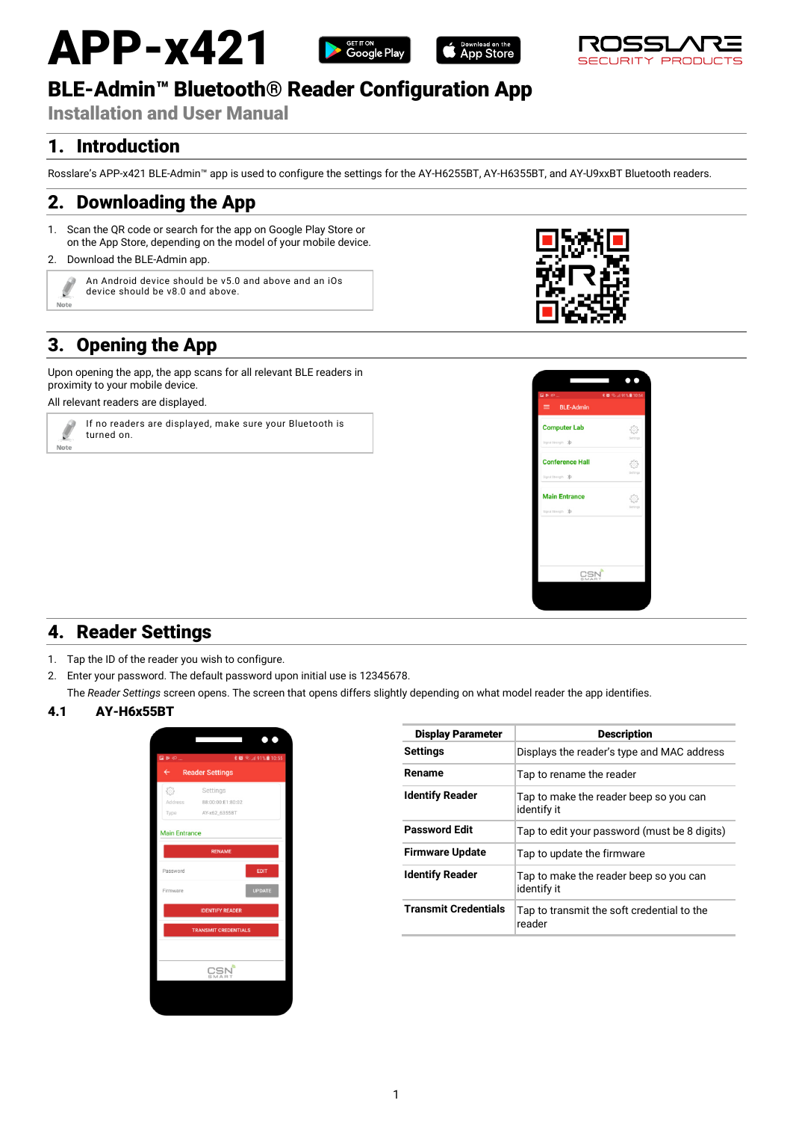# APP-x421







# BLE-Admin™ Bluetooth® Reader Configuration App

Installation and User Manual

## 1. Introduction

Rosslare's APP-x421 BLE-Admin™ app is used to configure the settings for the AY-H6255BT, AY-H6355BT, and AY-U9xxBT Bluetooth readers.

### 2. Downloading the App

1. Scan the QR code or search for the app on Google Play Store or on the App Store, depending on the model of your mobile device.

### 2. Download the BLE-Admin app.



An Android device should be v5.0 and above and an iOs device should be v8.0 and above.

# 3. Opening the App

Upon opening the app, the app scans for all relevant BLE readers in proximity to your mobile device.

All relevant readers are displayed.



If no readers are displayed, make sure your Bluetooth is turned on.





# 4. Reader Settings

- 1. Tap the ID of the reader you wish to configure.
- 2. Enter your password. The default password upon initial use is 12345678.
- The *Reader Settings* screen opens. The screen that opens differs slightly depending on what model reader the app identifies.

### 4.1 AY-H6x55BT



| <b>Description</b>                                    |
|-------------------------------------------------------|
| Displays the reader's type and MAC address            |
| Tap to rename the reader                              |
| Tap to make the reader beep so you can<br>identify it |
| Tap to edit your password (must be 8 digits)          |
| Tap to update the firmware                            |
| Tap to make the reader beep so you can<br>identify it |
| Tap to transmit the soft credential to the<br>reader  |
|                                                       |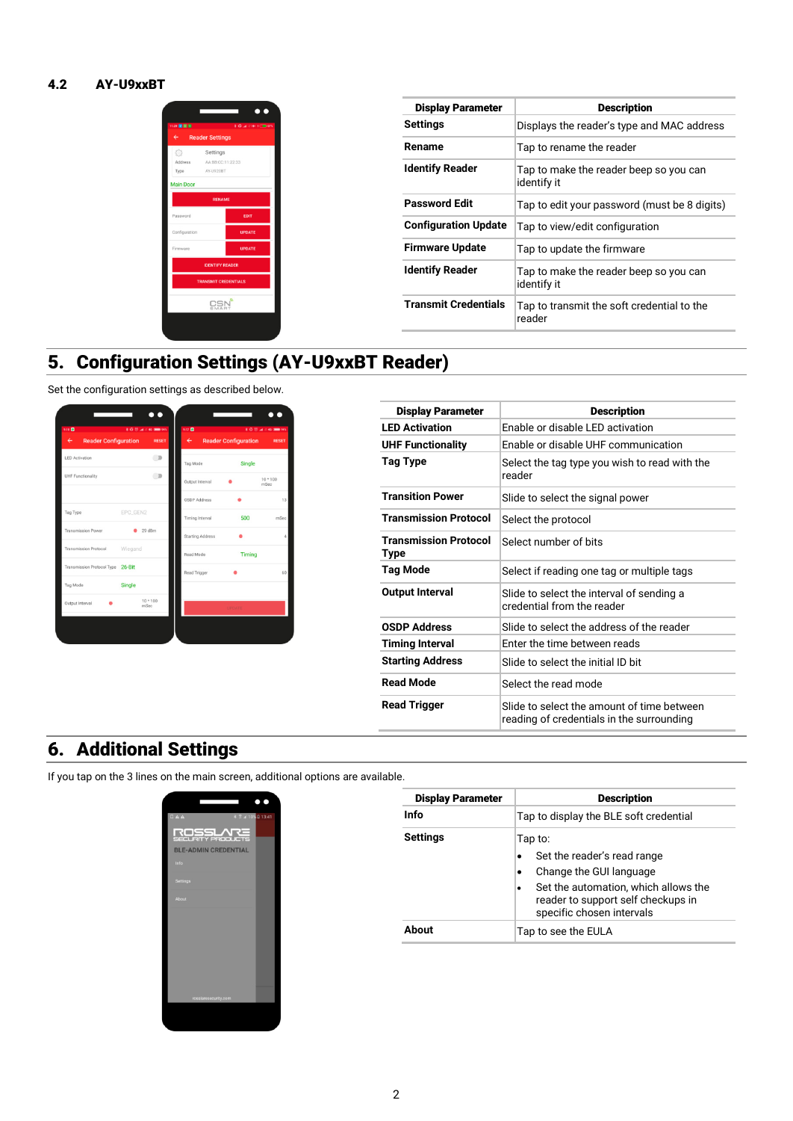### 4.2 AY-U9xxBT



| <b>Display Parameter</b>    | <b>Description</b>                                    |
|-----------------------------|-------------------------------------------------------|
| Settings                    | Displays the reader's type and MAC address            |
| Rename                      | Tap to rename the reader                              |
| <b>Identify Reader</b>      | Tap to make the reader beep so you can<br>identify it |
| <b>Password Edit</b>        | Tap to edit your password (must be 8 digits)          |
| <b>Configuration Update</b> | Tap to view/edit configuration                        |
| <b>Firmware Update</b>      | Tap to update the firmware                            |
| <b>Identify Reader</b>      | Tap to make the reader beep so you can<br>identify it |
| <b>Transmit Credentials</b> | Tap to transmit the soft credential to the<br>reader  |

# 5. Configuration Settings (AY-U9xxBT Reader)

Set the configuration settings as described below.



| <b>Display Parameter</b>                    | <b>Description</b>                                                                      |
|---------------------------------------------|-----------------------------------------------------------------------------------------|
| <b>I FD Activation</b>                      | Enable or disable LED activation                                                        |
| <b>UHF Functionality</b>                    | Enable or disable UHF communication                                                     |
| <b>Tag Type</b>                             | Select the tag type you wish to read with the<br>reader                                 |
| <b>Transition Power</b>                     | Slide to select the signal power                                                        |
| <b>Transmission Protocol</b>                | Select the protocol                                                                     |
| <b>Transmission Protocol</b><br><b>Type</b> | Select number of bits                                                                   |
| <b>Tag Mode</b>                             | Select if reading one tag or multiple tags                                              |
| <b>Output Interval</b>                      | Slide to select the interval of sending a<br>credential from the reader                 |
| <b>OSDP Address</b>                         | Slide to select the address of the reader                                               |
| <b>Timing Interval</b>                      | Enter the time between reads                                                            |
| <b>Starting Address</b>                     | Slide to select the initial ID bit                                                      |
| <b>Read Mode</b>                            | Select the read mode                                                                    |
| <b>Read Trigger</b>                         | Slide to select the amount of time between<br>reading of credentials in the surrounding |

# 6. Additional Settings

If you tap on the 3 lines on the main screen, additional options are available.



| <b>Display Parameter</b> | <b>Description</b>                                                                                      |
|--------------------------|---------------------------------------------------------------------------------------------------------|
| Info                     | Tap to display the BLE soft credential                                                                  |
| Settings                 | Tap to:                                                                                                 |
|                          | Set the reader's read range                                                                             |
|                          | Change the GUI language<br>$\bullet$                                                                    |
|                          | Set the automation, which allows the<br>reader to support self checkups in<br>specific chosen intervals |
| <b>Ahout</b>             | Tap to see the EULA                                                                                     |